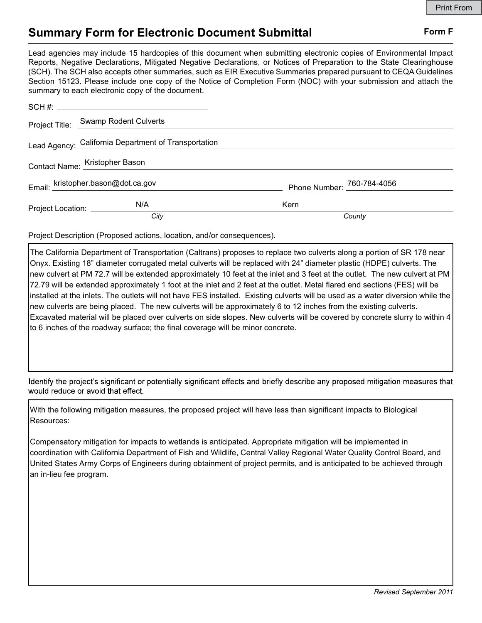## Summary Form for Electronic Document Submittal Form F

Lead agencies may include 15 hardcopies of this document when submitting electronic copies of Environmental Impact Reports, Negative Declarations, Mitigated Negative Declarations, or Notices of Preparation to the State Clearinghouse (SCH). The SCH also accepts other summaries, such as EIR Executive Summaries prepared pursuant to CEQA Guidelines Section 15123. Please include one copy of the Notice of Completion Form (NOC) with your submission and attach the summary to each electronic copy of the document.

|                                | Project Title: Swamp Rodent Culverts                 |                            |
|--------------------------------|------------------------------------------------------|----------------------------|
|                                | Lead Agency: California Department of Transportation |                            |
| Contact Name: Kristopher Bason |                                                      |                            |
|                                | Email: kristopher.bason@dot.ca.gov                   | Phone Number: 760-784-4056 |
| Project Location: ___________  | N/A                                                  | Kern                       |
|                                | City                                                 | County                     |

Project Description (Proposed actions, location, and/or consequences).

The California Department of Transportation (Caltrans) proposes to replace two culverts along a portion of SR 178 near Onyx. Existing 18" diameter corrugated metal culverts will be replaced with 24" diameter plastic (HDPE) culverts. The new culvert at PM 72.7 will be extended approximately 10 feet at the inlet and 3 feet at the outlet. The new culvert at PM 72.79 will be extended approximately 1 foot at the inlet and 2 feet at the outlet. Metal flared end sections (FES) will be installed at the inlets. The outlets will not have FES installed. Existing culverts will be used as a water diversion while the new culverts are being placed. The new culverts will be approximately 6 to 12 inches from the existing culverts. Excavated material will be placed over culverts on side slopes. New culverts will be covered by concrete slurry to within 4 to 6 inches of the roadway surface; the final coverage will be minor concrete.

Identify the project's significant or potentially significant effects and briefly describe any proposed mitigation measures that would reduce or avoid that effect.

With the following mitigation measures, the proposed project will have less than significant impacts to Biological Resources:

Compensatory mitigation for impacts to wetlands is anticipated. Appropriate mitigation will be implemented in coordination with California Department of Fish and Wildlife, Central Valley Regional Water Quality Control Board, and United States Army Corps of Engineers during obtainment of project permits, and is anticipated to be achieved through an in-lieu fee program.